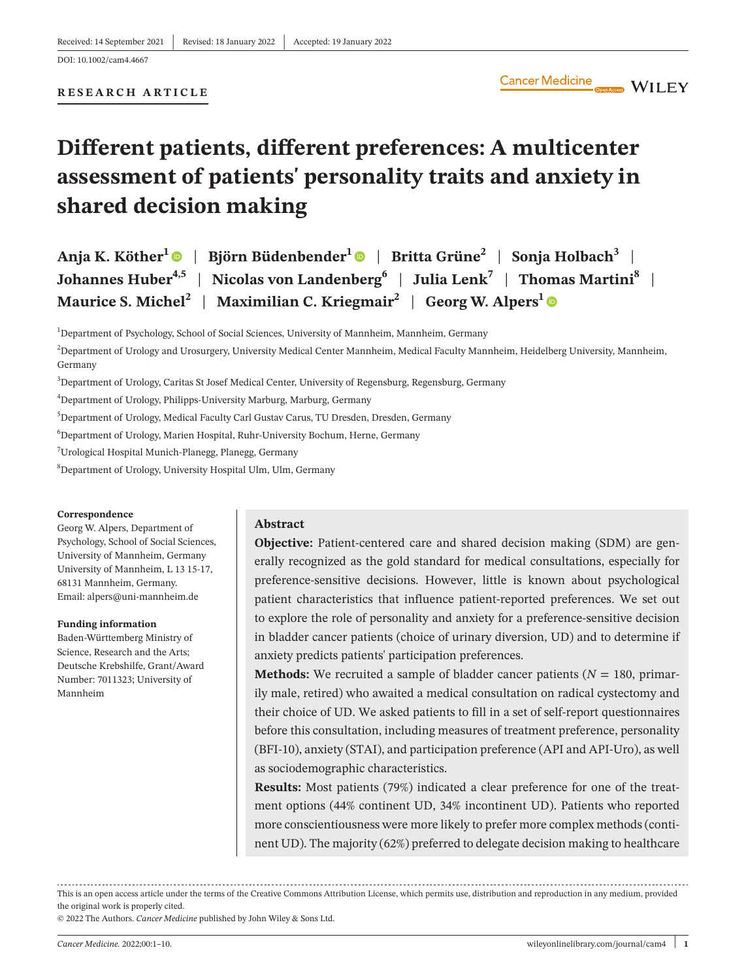**RESEARCH ARTICLE**

# **Different patients, different preferences: A multicenter assessment of patients' personality traits and anxiety in shared decision making**

| Anja K. Köther <sup>1</sup> $\bullet$   Björn Büdenbender <sup>1</sup> $\bullet$   Britta Grüne <sup>2</sup>   Sonja Holbach <sup>3</sup> |  |
|-------------------------------------------------------------------------------------------------------------------------------------------|--|
| Johannes Huber <sup>4,5</sup>   Nicolas von Landenberg <sup>6</sup>   Julia Lenk <sup>7</sup>   Thomas Martini <sup>8</sup>               |  |
| Maurice S. Michel <sup>2</sup>   Maximilian C. Kriegmair <sup>2</sup>   Georg W. Alpers <sup>1</sup>                                      |  |

 $^1$ Department of Psychology, School of Social Sciences, University of Mannheim, Mannheim, Germany

 $^2$ Department of Urology and Urosurgery, University Medical Center Mannheim, Medical Faculty Mannheim, Heidelberg University, Mannheim, Germany

3 Department of Urology, Caritas St Josef Medical Center, University of Regensburg, Regensburg, Germany

4 Department of Urology, Philipps-University Marburg, Marburg, Germany

5 Department of Urology, Medical Faculty Carl Gustav Carus, TU Dresden, Dresden, Germany

 $^6$ Department of Urology, Marien Hospital, Ruhr-University Bochum, Herne, Germany

7 Urological Hospital Munich-Planegg, Planegg, Germany

8 Department of Urology, University Hospital Ulm, Ulm, Germany

#### **Correspondence**

Georg W. Alpers, Department of Psychology, School of Social Sciences, University of Mannheim, Germany University of Mannheim, L 13 15-17, 68131 Mannheim, Germany. Email: [alpers@uni-mannheim.de](mailto:alpers@uni-­mannheim.de)

#### **Funding information**

Baden-Württemberg Ministry of Science, Research and the Arts; Deutsche Krebshilfe, Grant/Award Number: 7011323; University of Mannheim

#### **Abstract**

**Objective:** Patient-centered care and shared decision making (SDM) are generally recognized as the gold standard for medical consultations, especially for preference-sensitive decisions. However, little is known about psychological patient characteristics that influence patient-reported preferences. We set out to explore the role of personality and anxiety for a preference-sensitive decision in bladder cancer patients (choice of urinary diversion, UD) and to determine if anxiety predicts patients' participation preferences.

**Methods:** We recruited a sample of bladder cancer patients ( $N = 180$ , primarily male, retired) who awaited a medical consultation on radical cystectomy and their choice of UD. We asked patients to fill in a set of self-report questionnaires before this consultation, including measures of treatment preference, personality (BFI-10), anxiety (STAI), and participation preference (API and API-Uro), as well as sociodemographic characteristics.

**Results:** Most patients (79%) indicated a clear preference for one of the treatment options (44% continent UD, 34% incontinent UD). Patients who reported more conscientiousness were more likely to prefer more complex methods (continent UD). The majority (62%) preferred to delegate decision making to healthcare

This is an open access article under the terms of the [Creative Commons Attribution](http://creativecommons.org/licenses/by/4.0/) License, which permits use, distribution and reproduction in any medium, provided the original work is properly cited.

© 2022 The Authors. *Cancer Medicine* published by John Wiley & Sons Ltd.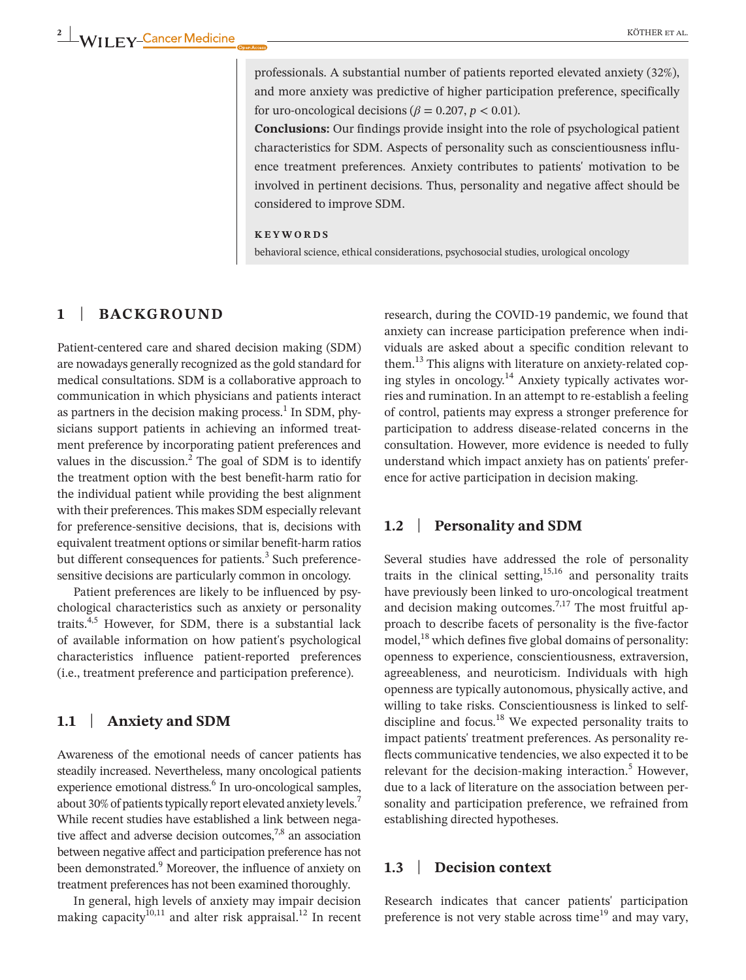professionals. A substantial number of patients reported elevated anxiety (32%), and more anxiety was predictive of higher participation preference, specifically for uro-oncological decisions ( $\beta$  = 0.207, *p* < 0.01).

**Conclusions:** Our findings provide insight into the role of psychological patient characteristics for SDM. Aspects of personality such as conscientiousness influence treatment preferences. Anxiety contributes to patients' motivation to be involved in pertinent decisions. Thus, personality and negative affect should be considered to improve SDM.

#### **KEYWORDS**

behavioral science, ethical considerations, psychosocial studies, urological oncology

# **1** | **BACKGROUND**

Patient-centered care and shared decision making (SDM) are nowadays generally recognized as the gold standard for medical consultations. SDM is a collaborative approach to communication in which physicians and patients interact as partners in the decision making process. $^1$  In SDM, physicians support patients in achieving an informed treatment preference by incorporating patient preferences and values in the discussion.<sup>2</sup> The goal of SDM is to identify the treatment option with the best benefit-harm ratio for the individual patient while providing the best alignment with their preferences. This makes SDM especially relevant for preference-sensitive decisions, that is, decisions with equivalent treatment options or similar benefit-harm ratios but different consequences for patients.<sup>3</sup> Such preferencesensitive decisions are particularly common in oncology.

Patient preferences are likely to be influenced by psychological characteristics such as anxiety or personality traits.<sup>4,5</sup> However, for SDM, there is a substantial lack of available information on how patient's psychological characteristics influence patient-reported preferences (i.e., treatment preference and participation preference).

# **1.1** | **Anxiety and SDM**

Awareness of the emotional needs of cancer patients has steadily increased. Nevertheless, many oncological patients experience emotional distress.<sup>6</sup> In uro-oncological samples, about 30% of patients typically report elevated anxiety levels.<sup>7</sup> While recent studies have established a link between negative affect and adverse decision outcomes, $7,8$  an association between negative affect and participation preference has not been demonstrated.<sup>9</sup> Moreover, the influence of anxiety on treatment preferences has not been examined thoroughly.

In general, high levels of anxiety may impair decision making capacity<sup>10,11</sup> and alter risk appraisal.<sup>12</sup> In recent

research, during the COVID-19 pandemic, we found that anxiety can increase participation preference when individuals are asked about a specific condition relevant to them.<sup>13</sup> This aligns with literature on anxiety-related coping styles in oncology. $14$  Anxiety typically activates worries and rumination. In an attempt to re-establish a feeling of control, patients may express a stronger preference for participation to address disease-related concerns in the consultation. However, more evidence is needed to fully understand which impact anxiety has on patients' preference for active participation in decision making.

#### **1.2** | **Personality and SDM**

Several studies have addressed the role of personality traits in the clinical setting,<sup>15,16</sup> and personality traits have previously been linked to uro-oncological treatment and decision making outcomes.<sup>7,17</sup> The most fruitful approach to describe facets of personality is the five-factor model,<sup>18</sup> which defines five global domains of personality: openness to experience, conscientiousness, extraversion, agreeableness, and neuroticism. Individuals with high openness are typically autonomous, physically active, and willing to take risks. Conscientiousness is linked to selfdiscipline and focus.<sup>18</sup> We expected personality traits to impact patients' treatment preferences. As personality reflects communicative tendencies, we also expected it to be relevant for the decision-making interaction.<sup>5</sup> However, due to a lack of literature on the association between personality and participation preference, we refrained from establishing directed hypotheses.

# **1.3** | **Decision context**

Research indicates that cancer patients' participation preference is not very stable across time<sup>19</sup> and may vary,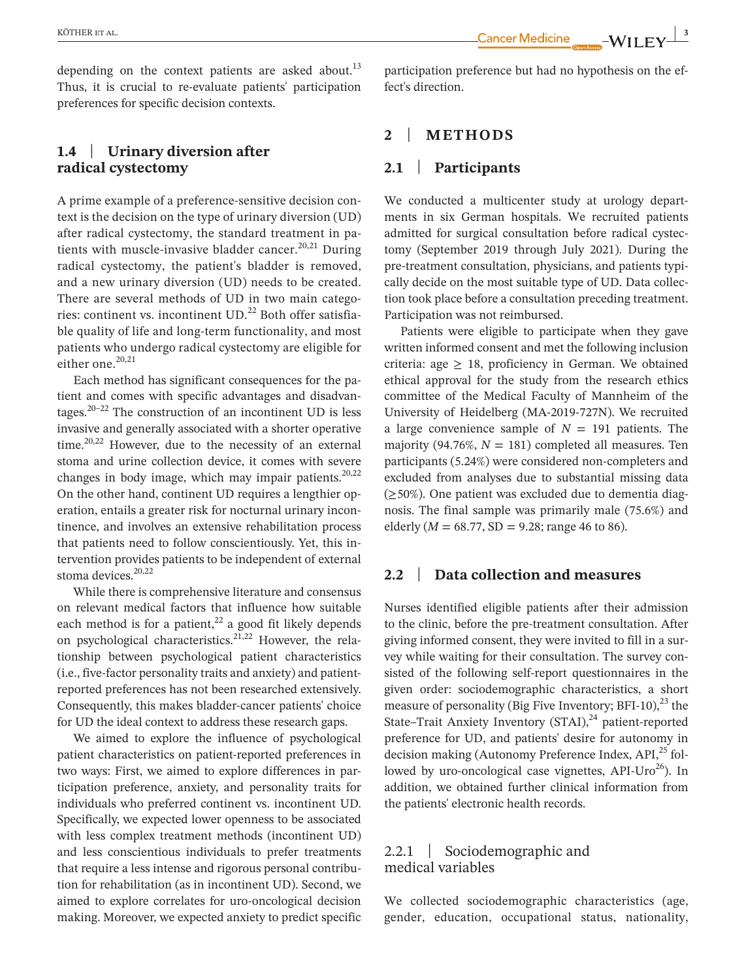depending on the context patients are asked about.<sup>13</sup> Thus, it is crucial to re-evaluate patients' participation preferences for specific decision contexts.

# **1.4** | **Urinary diversion after radical cystectomy**

A prime example of a preference-sensitive decision context is the decision on the type of urinary diversion (UD) after radical cystectomy, the standard treatment in patients with muscle-invasive bladder cancer.<sup>20,21</sup> During radical cystectomy, the patient's bladder is removed, and a new urinary diversion (UD) needs to be created. There are several methods of UD in two main categories: continent vs. incontinent  $UD<sup>22</sup>$  Both offer satisfiable quality of life and long-term functionality, and most patients who undergo radical cystectomy are eligible for either one.<sup>20,21</sup>

Each method has significant consequences for the patient and comes with specific advantages and disadvantages. $20-22$  The construction of an incontinent UD is less invasive and generally associated with a shorter operative time. $20,22$  However, due to the necessity of an external stoma and urine collection device, it comes with severe changes in body image, which may impair patients. $20,22$ On the other hand, continent UD requires a lengthier operation, entails a greater risk for nocturnal urinary incontinence, and involves an extensive rehabilitation process that patients need to follow conscientiously. Yet, this intervention provides patients to be independent of external stoma devices $20,22$ 

While there is comprehensive literature and consensus on relevant medical factors that influence how suitable each method is for a patient,<sup>22</sup> a good fit likely depends on psychological characteristics.21,22 However, the relationship between psychological patient characteristics (i.e., five-factor personality traits and anxiety) and patientreported preferences has not been researched extensively. Consequently, this makes bladder-cancer patients' choice for UD the ideal context to address these research gaps.

We aimed to explore the influence of psychological patient characteristics on patient-reported preferences in two ways: First, we aimed to explore differences in participation preference, anxiety, and personality traits for individuals who preferred continent vs. incontinent UD. Specifically, we expected lower openness to be associated with less complex treatment methods (incontinent UD) and less conscientious individuals to prefer treatments that require a less intense and rigorous personal contribution for rehabilitation (as in incontinent UD). Second, we aimed to explore correlates for uro-oncological decision making. Moreover, we expected anxiety to predict specific

participation preference but had no hypothesis on the effect's direction.

# **2** | **METHODS**

## **2.1** | **Participants**

We conducted a multicenter study at urology departments in six German hospitals. We recruited patients admitted for surgical consultation before radical cystectomy (September 2019 through July 2021). During the pre-treatment consultation, physicians, and patients typically decide on the most suitable type of UD. Data collection took place before a consultation preceding treatment. Participation was not reimbursed.

Patients were eligible to participate when they gave written informed consent and met the following inclusion criteria: age  $\geq$  18, proficiency in German. We obtained ethical approval for the study from the research ethics committee of the Medical Faculty of Mannheim of the University of Heidelberg (MA-2019-727N). We recruited a large convenience sample of  $N = 191$  patients. The majority (94.76%,  $N = 181$ ) completed all measures. Ten participants (5.24%) were considered non-completers and excluded from analyses due to substantial missing data (≥50%). One patient was excluded due to dementia diagnosis. The final sample was primarily male (75.6%) and elderly ( $M = 68.77$ , SD = 9.28; range 46 to 86).

#### **2.2** | **Data collection and measures**

Nurses identified eligible patients after their admission to the clinic, before the pre-treatment consultation. After giving informed consent, they were invited to fill in a survey while waiting for their consultation. The survey consisted of the following self-report questionnaires in the given order: sociodemographic characteristics, a short measure of personality (Big Five Inventory; BFI-10), $^{23}$  the State–Trait Anxiety Inventory  $(STAI)<sup>24</sup>$  patient-reported preference for UD, and patients' desire for autonomy in decision making (Autonomy Preference Index,  $API<sub>1</sub><sup>25</sup>$  followed by uro-oncological case vignettes,  $API-Uro^{26}$ ). In addition, we obtained further clinical information from the patients' electronic health records.

# 2.2.1 | Sociodemographic and medical variables

We collected sociodemographic characteristics (age, gender, education, occupational status, nationality,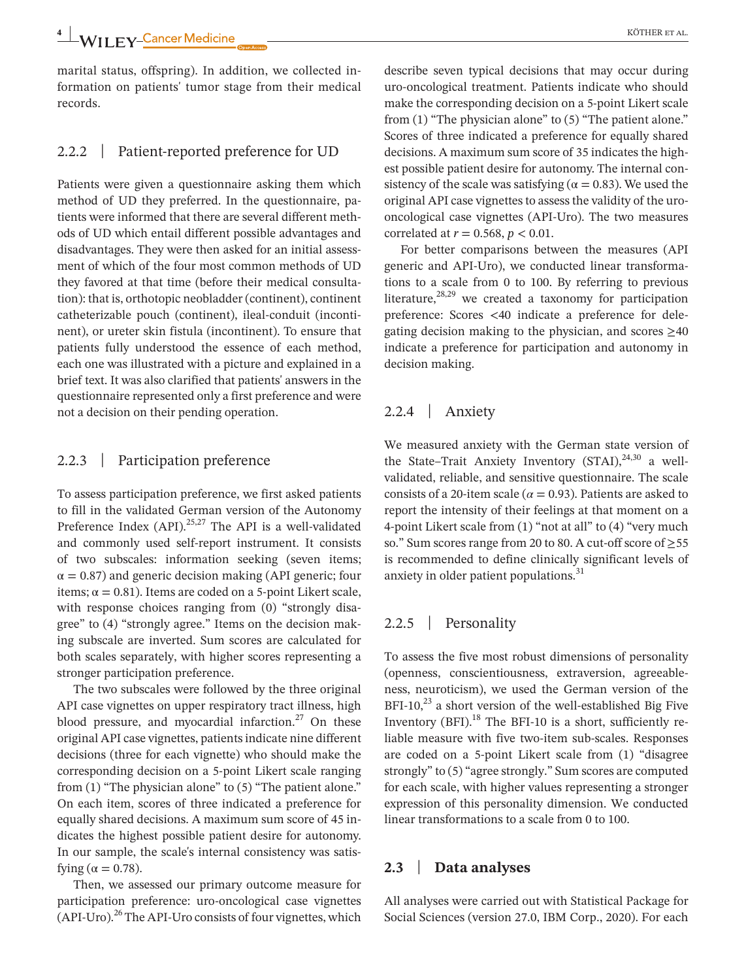marital status, offspring). In addition, we collected information on patients' tumor stage from their medical records.

# 2.2.2 | Patient-reported preference for UD

Patients were given a questionnaire asking them which method of UD they preferred. In the questionnaire, patients were informed that there are several different methods of UD which entail different possible advantages and disadvantages. They were then asked for an initial assessment of which of the four most common methods of UD they favored at that time (before their medical consultation): that is, orthotopic neobladder (continent), continent catheterizable pouch (continent), ileal-conduit (incontinent), or ureter skin fistula (incontinent). To ensure that patients fully understood the essence of each method, each one was illustrated with a picture and explained in a brief text. It was also clarified that patients' answers in the questionnaire represented only a first preference and were not a decision on their pending operation.

# 2.2.3 | Participation preference

To assess participation preference, we first asked patients to fill in the validated German version of the Autonomy Preference Index (API).<sup>25,27</sup> The API is a well-validated and commonly used self-report instrument. It consists of two subscales: information seeking (seven items;  $\alpha$  = 0.87) and generic decision making (API generic; four items;  $\alpha = 0.81$ ). Items are coded on a 5-point Likert scale, with response choices ranging from (0) "strongly disagree" to (4) "strongly agree." Items on the decision making subscale are inverted. Sum scores are calculated for both scales separately, with higher scores representing a stronger participation preference.

The two subscales were followed by the three original API case vignettes on upper respiratory tract illness, high blood pressure, and myocardial infarction. $27$  On these original API case vignettes, patients indicate nine different decisions (three for each vignette) who should make the corresponding decision on a 5-point Likert scale ranging from (1) "The physician alone" to (5) "The patient alone." On each item, scores of three indicated a preference for equally shared decisions. A maximum sum score of 45 indicates the highest possible patient desire for autonomy. In our sample, the scale's internal consistency was satisfying ( $\alpha = 0.78$ ).

Then, we assessed our primary outcome measure for participation preference: uro-oncological case vignettes  $(API-Uro)<sup>26</sup>$  The API-Uro consists of four vignettes, which

describe seven typical decisions that may occur during uro-oncological treatment. Patients indicate who should make the corresponding decision on a 5-point Likert scale from (1) "The physician alone" to (5) "The patient alone." Scores of three indicated a preference for equally shared decisions. A maximum sum score of 35 indicates the highest possible patient desire for autonomy. The internal consistency of the scale was satisfying ( $\alpha = 0.83$ ). We used the original API case vignettes to assess the validity of the urooncological case vignettes (API-Uro). The two measures correlated at *r* = 0.568, *p* < 0.01.

For better comparisons between the measures (API generic and API-Uro), we conducted linear transformations to a scale from 0 to 100. By referring to previous literature, $28,29$  we created a taxonomy for participation preference: Scores <40 indicate a preference for delegating decision making to the physician, and scores  $\geq 40$ indicate a preference for participation and autonomy in decision making.

# 2.2.4 | Anxiety

We measured anxiety with the German state version of the State–Trait Anxiety Inventory  $(STAI)$ ,  $^{24,30}$  a wellvalidated, reliable, and sensitive questionnaire. The scale consists of a 20-item scale ( $\alpha$  = 0.93). Patients are asked to report the intensity of their feelings at that moment on a 4-point Likert scale from (1) "not at all" to (4) "very much so." Sum scores range from 20 to 80. A cut-off score of ≥55 is recommended to define clinically significant levels of anxiety in older patient populations.<sup>31</sup>

# 2.2.5 | Personality

To assess the five most robust dimensions of personality (openness, conscientiousness, extraversion, agreeableness, neuroticism), we used the German version of the BFI-10, $^{23}$  a short version of the well-established Big Five Inventory  $(BFI).$ <sup>18</sup> The BFI-10 is a short, sufficiently reliable measure with five two-item sub-scales. Responses are coded on a 5-point Likert scale from (1) "disagree strongly" to (5) "agree strongly." Sum scores are computed for each scale, with higher values representing a stronger expression of this personality dimension. We conducted linear transformations to a scale from 0 to 100.

# **2.3** | **Data analyses**

All analyses were carried out with Statistical Package for Social Sciences (version 27.0, IBM Corp., 2020). For each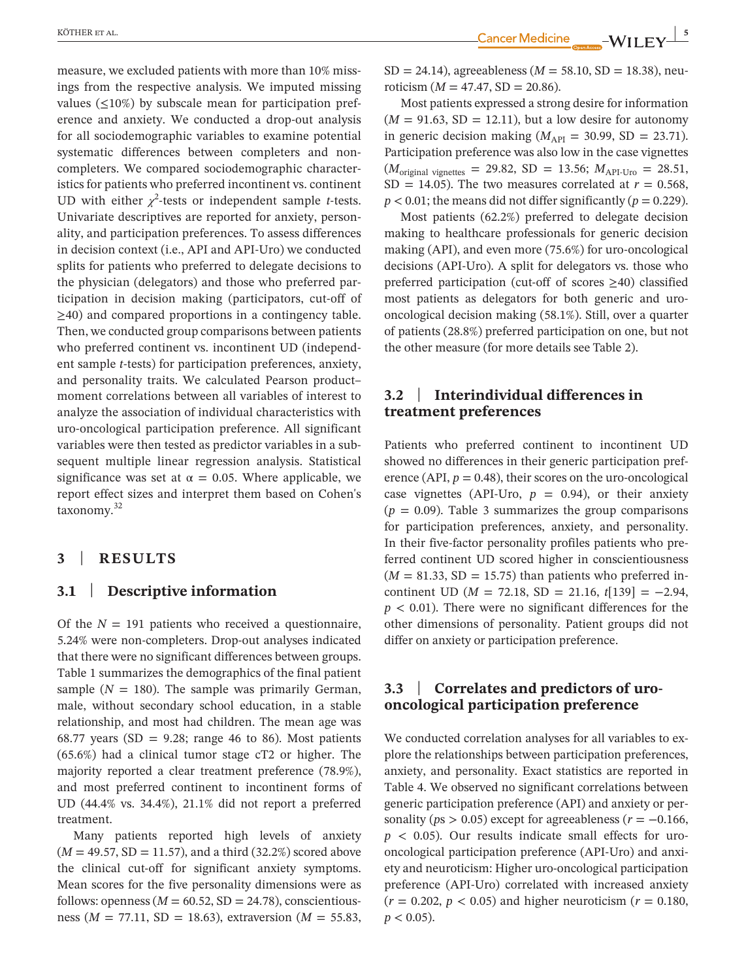measure, we excluded patients with more than 10% missings from the respective analysis. We imputed missing values  $(\leq10\%)$  by subscale mean for participation preference and anxiety. We conducted a drop-out analysis for all sociodemographic variables to examine potential systematic differences between completers and noncompleters. We compared sociodemographic characteristics for patients who preferred incontinent vs. continent UD with either  $\chi^2$ -tests or independent sample *t*-tests. Univariate descriptives are reported for anxiety, personality, and participation preferences. To assess differences in decision context (i.e., API and API-Uro) we conducted splits for patients who preferred to delegate decisions to the physician (delegators) and those who preferred participation in decision making (participators, cut-off of  $\geq$ 40) and compared proportions in a contingency table. Then, we conducted group comparisons between patients who preferred continent vs. incontinent UD (independent sample *t*-tests) for participation preferences, anxiety, and personality traits. We calculated Pearson product– moment correlations between all variables of interest to analyze the association of individual characteristics with uro-oncological participation preference. All significant variables were then tested as predictor variables in a subsequent multiple linear regression analysis. Statistical significance was set at  $\alpha = 0.05$ . Where applicable, we report effect sizes and interpret them based on Cohen's taxonomy.<sup>32</sup>

## **3** | **RESULTS**

# **3.1** | **Descriptive information**

Of the  $N = 191$  patients who received a questionnaire, 5.24% were non-completers. Drop-out analyses indicated that there were no significant differences between groups. Table 1 summarizes the demographics of the final patient sample  $(N = 180)$ . The sample was primarily German, male, without secondary school education, in a stable relationship, and most had children. The mean age was 68.77 years (SD =  $9.28$ ; range 46 to 86). Most patients (65.6%) had a clinical tumor stage cT2 or higher. The majority reported a clear treatment preference (78.9%), and most preferred continent to incontinent forms of UD (44.4% vs. 34.4%), 21.1% did not report a preferred treatment.

Many patients reported high levels of anxiety  $(M = 49.57, SD = 11.57)$ , and a third  $(32.2%)$  scored above the clinical cut-off for significant anxiety symptoms. Mean scores for the five personality dimensions were as follows: openness ( $M = 60.52$ , SD = 24.78), conscientiousness ( $M = 77.11$ , SD = 18.63), extraversion ( $M = 55.83$ ,

EXOTHER ET AL. **In the case of the contract of the contract of the contract of the contract of the contract of the contract of the contract of the contract of the contract of the contract of the contract of the contract of** 

 $SD = 24.14$ ), agreeableness ( $M = 58.10$ ,  $SD = 18.38$ ), neuroticism ( $M = 47.47$ , SD = 20.86).

Most patients expressed a strong desire for information  $(M = 91.63, SD = 12.11)$ , but a low desire for autonomy in generic decision making ( $M_{API}$  = 30.99, SD = 23.71). Participation preference was also low in the case vignettes  $(M_{\text{original vignettes}} = 29.82, SD = 13.56; M_{\text{API-Uro}} = 28.51,$ SD = 14.05). The two measures correlated at  $r = 0.568$ ,  $p < 0.01$ ; the means did not differ significantly ( $p = 0.229$ ).

Most patients (62.2%) preferred to delegate decision making to healthcare professionals for generic decision making (API), and even more (75.6%) for uro-oncological decisions (API-Uro). A split for delegators vs. those who preferred participation (cut-off of scores ≥40) classified most patients as delegators for both generic and urooncological decision making (58.1%). Still, over a quarter of patients (28.8%) preferred participation on one, but not the other measure (for more details see Table 2).

# **3.2** | **Interindividual differences in treatment preferences**

Patients who preferred continent to incontinent UD showed no differences in their generic participation preference (API,  $p = 0.48$ ), their scores on the uro-oncological case vignettes (API-Uro,  $p = 0.94$ ), or their anxiety  $(p = 0.09)$ . Table 3 summarizes the group comparisons for participation preferences, anxiety, and personality. In their five-factor personality profiles patients who preferred continent UD scored higher in conscientiousness  $(M = 81.33, SD = 15.75)$  than patients who preferred incontinent UD ( $M = 72.18$ , SD = 21.16,  $t[139] = -2.94$ ,  $p < 0.01$ ). There were no significant differences for the other dimensions of personality. Patient groups did not differ on anxiety or participation preference.

# **3.3** | **Correlates and predictors of urooncological participation preference**

We conducted correlation analyses for all variables to explore the relationships between participation preferences, anxiety, and personality. Exact statistics are reported in Table 4. We observed no significant correlations between generic participation preference (API) and anxiety or personality ( $ps > 0.05$ ) except for agreeableness ( $r = -0.166$ ,  $p \leq 0.05$ ). Our results indicate small effects for urooncological participation preference (API-Uro) and anxiety and neuroticism: Higher uro-oncological participation preference (API-Uro) correlated with increased anxiety  $(r = 0.202, p < 0.05)$  and higher neuroticism  $(r = 0.180,$  $p < 0.05$ ).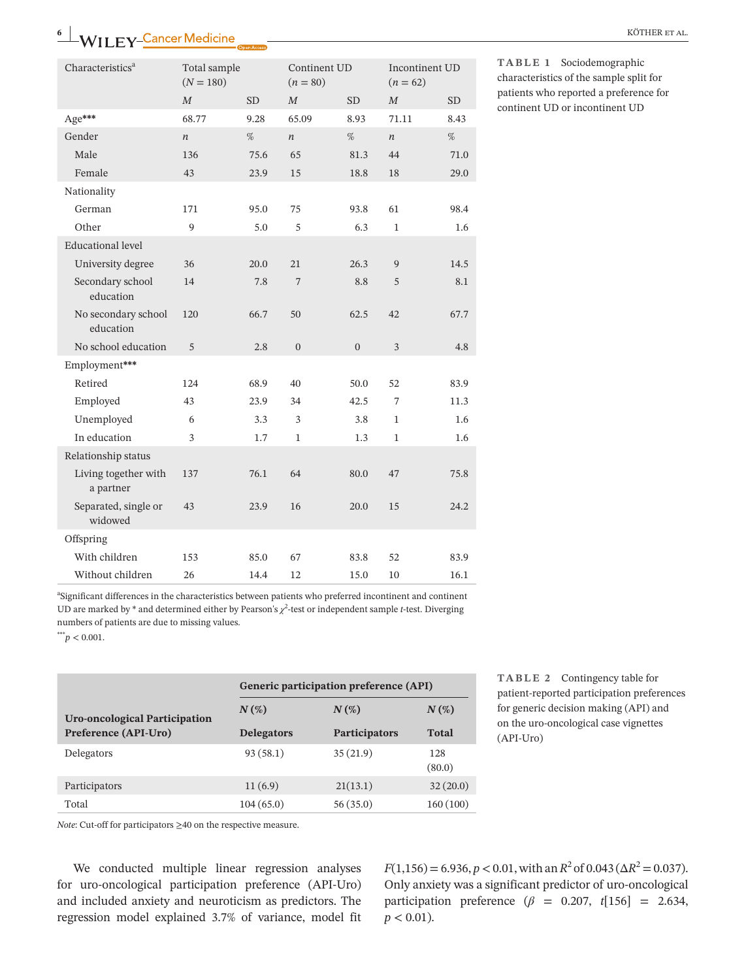| Characteristics <sup>a</sup>      | Total sample<br>$(N = 180)$ |      | Continent UD<br>$(n = 80)$ |              | Incontinent UD<br>$(n = 62)$ |           |
|-----------------------------------|-----------------------------|------|----------------------------|--------------|------------------------------|-----------|
|                                   | $\boldsymbol{M}$            | SD.  | $\boldsymbol{M}$           | SD.          | $\boldsymbol{M}$             | <b>SD</b> |
| Age***                            | 68.77                       | 9.28 | 65.09                      | 8.93         | 71.11                        | 8.43      |
| Gender                            | $\boldsymbol{n}$            | $\%$ | $\boldsymbol{n}$           | $\%$         | $\boldsymbol{n}$             | %         |
| Male                              | 136                         | 75.6 | 65                         | 81.3         | 44                           | 71.0      |
| Female                            | 43                          | 23.9 | 15                         | 18.8         | 18                           | 29.0      |
| Nationality                       |                             |      |                            |              |                              |           |
| German                            | 171                         | 95.0 | 75                         | 93.8         | 61                           | 98.4      |
| Other                             | 9                           | 5.0  | 5                          | 6.3          | $\mathbf{1}$                 | 1.6       |
| <b>Educational level</b>          |                             |      |                            |              |                              |           |
| University degree                 | 36                          | 20.0 | 21                         | 26.3         | 9                            | 14.5      |
| Secondary school<br>education     | 14                          | 7.8  | 7                          | 8.8          | 5                            | 8.1       |
| No secondary school<br>education  | 120                         | 66.7 | 50                         | 62.5         | 42                           | 67.7      |
| No school education               | 5                           | 2.8  | $\overline{0}$             | $\mathbf{0}$ | 3                            | 4.8       |
| Employment***                     |                             |      |                            |              |                              |           |
| Retired                           | 124                         | 68.9 | 40                         | 50.0         | 52                           | 83.9      |
| Employed                          | 43                          | 23.9 | 34                         | 42.5         | 7                            | 11.3      |
| Unemployed                        | 6                           | 3.3  | 3                          | 3.8          | 1                            | 1.6       |
| In education                      | 3                           | 1.7  | 1                          | 1.3          | 1                            | 1.6       |
| Relationship status               |                             |      |                            |              |                              |           |
| Living together with<br>a partner | 137                         | 76.1 | 64                         | 80.0         | 47                           | 75.8      |
| Separated, single or<br>widowed   | 43                          | 23.9 | 16                         | 20.0         | 15                           | 24.2      |
| Offspring                         |                             |      |                            |              |                              |           |
| With children                     | 153                         | 85.0 | 67                         | 83.8         | 52                           | 83.9      |
| Without children                  | 26                          | 14.4 | 12                         | 15.0         | 10                           | 16.1      |

**TABLE 1** Sociodemographic characteristics of the sample split for patients who reported a preference for continent UD or incontinent UD

a Significant differences in the characteristics between patients who preferred incontinent and continent UD are marked by  $*$  and determined either by Pearson's  $\chi^2$ -test or independent sample *t*-test. Diverging numbers of patients are due to missing values.

 $*^{**}p < 0.001$ .

|                               | Generic participation preference (API) |                      |               |  |  |  |  |
|-------------------------------|----------------------------------------|----------------------|---------------|--|--|--|--|
| Uro-oncological Participation | $N(\%)$                                | $N(\%)$              | $N(\%)$       |  |  |  |  |
| Preference (API-Uro)          | <b>Delegators</b>                      | <b>Participators</b> | <b>Total</b>  |  |  |  |  |
| Delegators                    | 93(58.1)                               | 35(21.9)             | 128<br>(80.0) |  |  |  |  |
| Participators                 | 11(6.9)                                | 21(13.1)             | 32(20.0)      |  |  |  |  |
| Total                         | 104(65.0)                              | 56(35.0)             | 160(100)      |  |  |  |  |

**TABLE 2** Contingency table for patient-reported participation preferences for generic decision making (API) and on the uro-oncological case vignettes (API-Uro)

*Note*: Cut-off for participators ≥40 on the respective measure.

We conducted multiple linear regression analyses for uro-oncological participation preference (API-Uro) and included anxiety and neuroticism as predictors. The regression model explained 3.7% of variance, model fit

 $F(1,156) = 6.936, p < 0.01$ , with an  $R^2$  of  $0.043$  ( $\Delta R^2 = 0.037$ ). Only anxiety was a significant predictor of uro-oncological participation preference  $(\beta = 0.207, t[156] = 2.634,$  $p < 0.01$ ).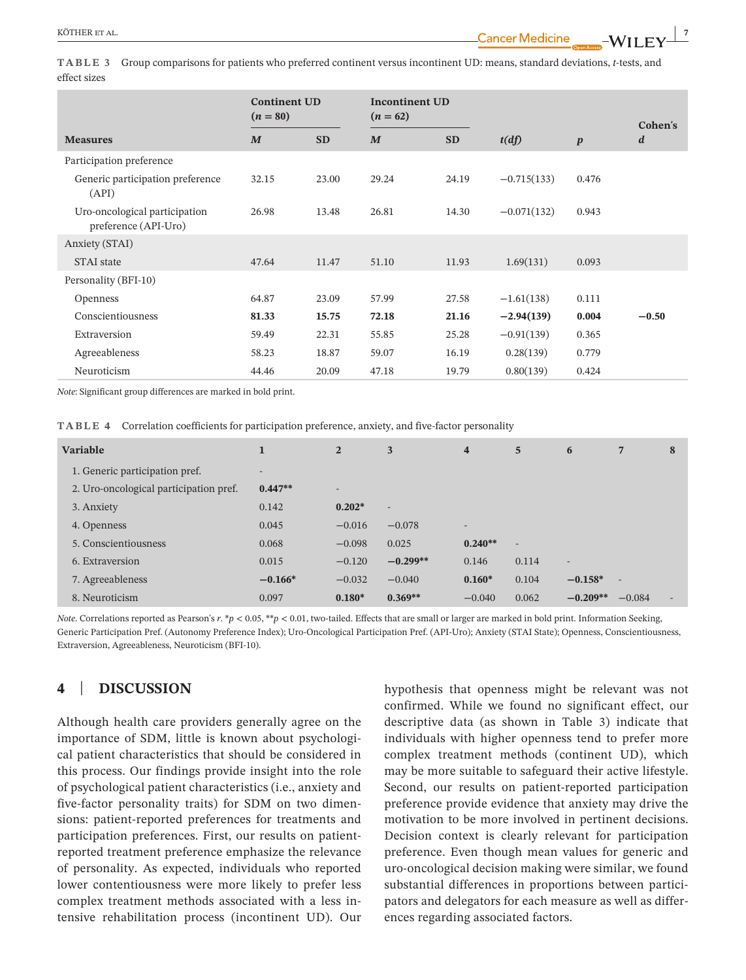**TABLE 3** Group comparisons for patients who preferred continent versus incontinent UD: means, standard deviations, *t*-tests, and effect sizes

|                                                       | <b>Continent UD</b><br>$(n = 80)$ |           | <b>Incontinent UD</b><br>$(n = 62)$ |           |               |                  | Cohen's          |
|-------------------------------------------------------|-----------------------------------|-----------|-------------------------------------|-----------|---------------|------------------|------------------|
| <b>Measures</b>                                       | $\boldsymbol{M}$                  | <b>SD</b> | $\boldsymbol{M}$                    | <b>SD</b> | t(df)         | $\boldsymbol{p}$ | $\boldsymbol{d}$ |
| Participation preference                              |                                   |           |                                     |           |               |                  |                  |
| Generic participation preference<br>(API)             | 32.15                             | 23.00     | 29.24                               | 24.19     | $-0.715(133)$ | 0.476            |                  |
| Uro-oncological participation<br>preference (API-Uro) | 26.98                             | 13.48     | 26.81                               | 14.30     | $-0.071(132)$ | 0.943            |                  |
| Anxiety (STAI)                                        |                                   |           |                                     |           |               |                  |                  |
| <b>STAI</b> state                                     | 47.64                             | 11.47     | 51.10                               | 11.93     | 1.69(131)     | 0.093            |                  |
| Personality (BFI-10)                                  |                                   |           |                                     |           |               |                  |                  |
| <b>Openness</b>                                       | 64.87                             | 23.09     | 57.99                               | 27.58     | $-1.61(138)$  | 0.111            |                  |
| Conscientiousness                                     | 81.33                             | 15.75     | 72.18                               | 21.16     | $-2.94(139)$  | 0.004            | $-0.50$          |
| Extraversion                                          | 59.49                             | 22.31     | 55.85                               | 25.28     | $-0.91(139)$  | 0.365            |                  |
| Agreeableness                                         | 58.23                             | 18.87     | 59.07                               | 16.19     | 0.28(139)     | 0.779            |                  |
| Neuroticism                                           | 44.46                             | 20.09     | 47.18                               | 19.79     | 0.80(139)     | 0.424            |                  |

*Note*: Significant group differences are marked in bold print.

**TABLE 4** Correlation coefficients for participation preference, anxiety, and five-factor personality

| <b>Variable</b>                        | 1         | $\overline{2}$ | 3                        | $\overline{\mathbf{4}}$  | 5              | 6          | 7                        | 8 |
|----------------------------------------|-----------|----------------|--------------------------|--------------------------|----------------|------------|--------------------------|---|
| 1. Generic participation pref.         | -         |                |                          |                          |                |            |                          |   |
| 2. Uro-oncological participation pref. | $0.447**$ | -              |                          |                          |                |            |                          |   |
| 3. Anxiety                             | 0.142     | $0.202*$       | $\overline{\phantom{a}}$ |                          |                |            |                          |   |
| 4. Openness                            | 0.045     | $-0.016$       | $-0.078$                 | $\overline{\phantom{a}}$ |                |            |                          |   |
| 5. Conscientiousness                   | 0.068     | $-0.098$       | 0.025                    | $0.240**$                | $\overline{a}$ |            |                          |   |
| 6. Extraversion                        | 0.015     | $-0.120$       | $-0.299**$               | 0.146                    | 0.114          | -          |                          |   |
| 7. Agreeableness                       | $-0.166*$ | $-0.032$       | $-0.040$                 | $0.160*$                 | 0.104          | $-0.158*$  | $\overline{\phantom{a}}$ |   |
| 8. Neuroticism                         | 0.097     | $0.180*$       | $0.369**$                | $-0.040$                 | 0.062          | $-0.209**$ | $-0.084$                 |   |

*Note*. Correlations reported as Pearson's *r*. \**p* < 0.05, \*\**p* < 0.01, two-tailed. Effects that are small or larger are marked in bold print. Information Seeking, Generic Participation Pref. (Autonomy Preference Index); Uro-Oncological Participation Pref. (API-Uro); Anxiety (STAI State); Openness, Conscientiousness, Extraversion, Agreeableness, Neuroticism (BFI-10).

# **4** | **DISCUSSION**

Although health care providers generally agree on the importance of SDM, little is known about psychological patient characteristics that should be considered in this process. Our findings provide insight into the role of psychological patient characteristics (i.e., anxiety and five-factor personality traits) for SDM on two dimensions: patient-reported preferences for treatments and participation preferences. First, our results on patientreported treatment preference emphasize the relevance of personality. As expected, individuals who reported lower contentiousness were more likely to prefer less complex treatment methods associated with a less intensive rehabilitation process (incontinent UD). Our

hypothesis that openness might be relevant was not confirmed. While we found no significant effect, our descriptive data (as shown in Table 3) indicate that individuals with higher openness tend to prefer more complex treatment methods (continent UD), which may be more suitable to safeguard their active lifestyle. Second, our results on patient-reported participation preference provide evidence that anxiety may drive the motivation to be more involved in pertinent decisions. Decision context is clearly relevant for participation preference. Even though mean values for generic and uro-oncological decision making were similar, we found substantial differences in proportions between participators and delegators for each measure as well as differences regarding associated factors.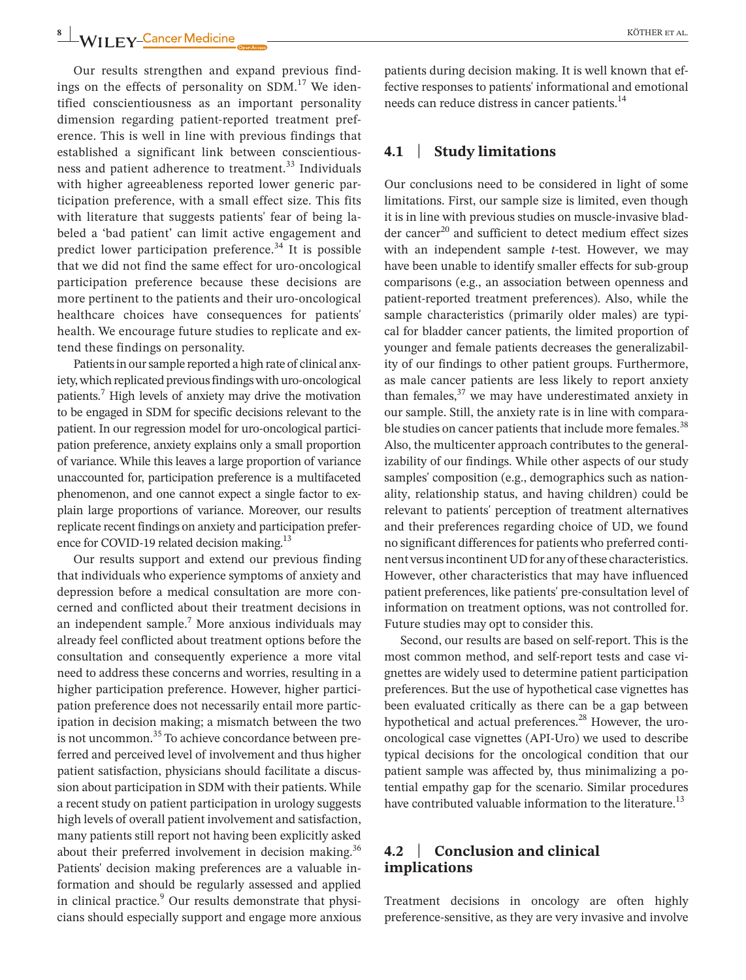Our results strengthen and expand previous findings on the effects of personality on SDM. $^{17}$  We identified conscientiousness as an important personality dimension regarding patient-reported treatment preference. This is well in line with previous findings that established a significant link between conscientiousness and patient adherence to treatment.<sup>33</sup> Individuals with higher agreeableness reported lower generic participation preference, with a small effect size. This fits with literature that suggests patients' fear of being labeled a 'bad patient' can limit active engagement and predict lower participation preference.<sup>34</sup> It is possible that we did not find the same effect for uro-oncological participation preference because these decisions are more pertinent to the patients and their uro-oncological healthcare choices have consequences for patients' health. We encourage future studies to replicate and extend these findings on personality.

Patients in our sample reported a high rate of clinical anxiety, which replicated previous findings with uro-oncological patients.<sup>7</sup> High levels of anxiety may drive the motivation to be engaged in SDM for specific decisions relevant to the patient. In our regression model for uro-oncological participation preference, anxiety explains only a small proportion of variance. While this leaves a large proportion of variance unaccounted for, participation preference is a multifaceted phenomenon, and one cannot expect a single factor to explain large proportions of variance. Moreover, our results replicate recent findings on anxiety and participation preference for COVID-19 related decision making.<sup>13</sup>

Our results support and extend our previous finding that individuals who experience symptoms of anxiety and depression before a medical consultation are more concerned and conflicted about their treatment decisions in an independent sample. $7$  More anxious individuals may already feel conflicted about treatment options before the consultation and consequently experience a more vital need to address these concerns and worries, resulting in a higher participation preference. However, higher participation preference does not necessarily entail more participation in decision making; a mismatch between the two is not uncommon.<sup>35</sup> To achieve concordance between preferred and perceived level of involvement and thus higher patient satisfaction, physicians should facilitate a discussion about participation in SDM with their patients. While a recent study on patient participation in urology suggests high levels of overall patient involvement and satisfaction, many patients still report not having been explicitly asked about their preferred involvement in decision making.<sup>36</sup> Patients' decision making preferences are a valuable information and should be regularly assessed and applied in clinical practice.<sup>9</sup> Our results demonstrate that physicians should especially support and engage more anxious

patients during decision making. It is well known that effective responses to patients' informational and emotional needs can reduce distress in cancer patients.<sup>14</sup>

# **4.1** | **Study limitations**

Our conclusions need to be considered in light of some limitations. First, our sample size is limited, even though it is in line with previous studies on muscle-invasive bladder cancer<sup>20</sup> and sufficient to detect medium effect sizes with an independent sample *t*-test. However, we may have been unable to identify smaller effects for sub-group comparisons (e.g., an association between openness and patient-reported treatment preferences). Also, while the sample characteristics (primarily older males) are typical for bladder cancer patients, the limited proportion of younger and female patients decreases the generalizability of our findings to other patient groups. Furthermore, as male cancer patients are less likely to report anxiety than females, $37$  we may have underestimated anxiety in our sample. Still, the anxiety rate is in line with comparable studies on cancer patients that include more females.<sup>38</sup> Also, the multicenter approach contributes to the generalizability of our findings. While other aspects of our study samples' composition (e.g., demographics such as nationality, relationship status, and having children) could be relevant to patients' perception of treatment alternatives and their preferences regarding choice of UD, we found no significant differences for patients who preferred continent versus incontinent UD for any of these characteristics. However, other characteristics that may have influenced patient preferences, like patients' pre-consultation level of information on treatment options, was not controlled for. Future studies may opt to consider this.

Second, our results are based on self-report. This is the most common method, and self-report tests and case vignettes are widely used to determine patient participation preferences. But the use of hypothetical case vignettes has been evaluated critically as there can be a gap between hypothetical and actual preferences.<sup>28</sup> However, the urooncological case vignettes (API-Uro) we used to describe typical decisions for the oncological condition that our patient sample was affected by, thus minimalizing a potential empathy gap for the scenario. Similar procedures have contributed valuable information to the literature.<sup>13</sup>

# **4.2** | **Conclusion and clinical implications**

Treatment decisions in oncology are often highly preference-sensitive, as they are very invasive and involve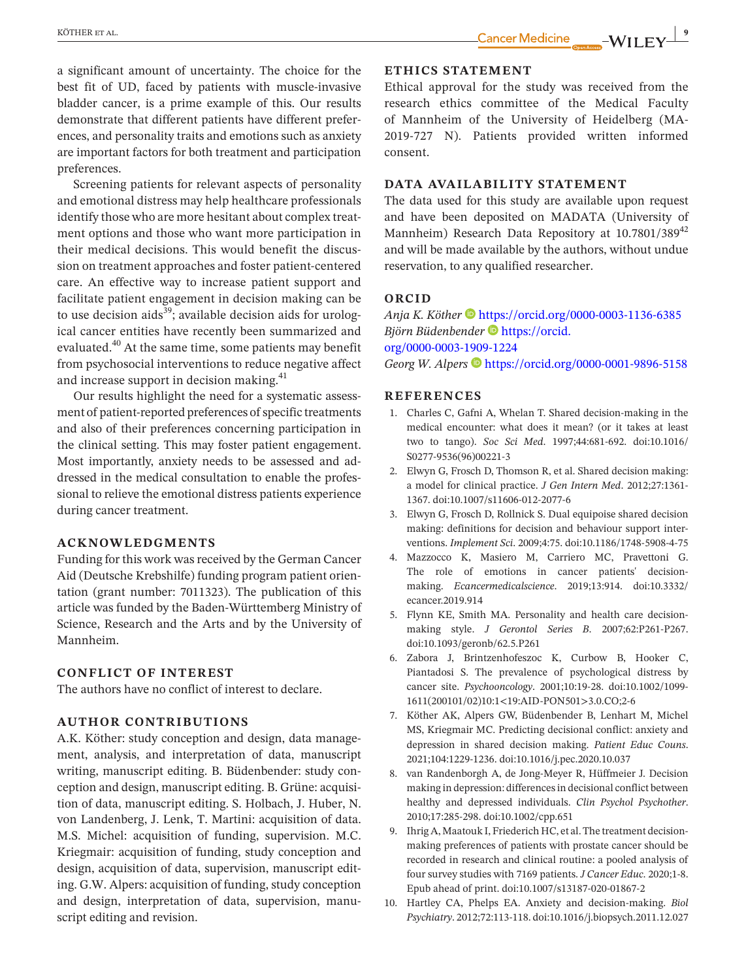a significant amount of uncertainty. The choice for the best fit of UD, faced by patients with muscle-invasive bladder cancer, is a prime example of this. Our results demonstrate that different patients have different preferences, and personality traits and emotions such as anxiety are important factors for both treatment and participation preferences.

Screening patients for relevant aspects of personality and emotional distress may help healthcare professionals identify those who are more hesitant about complex treatment options and those who want more participation in their medical decisions. This would benefit the discussion on treatment approaches and foster patient-centered care. An effective way to increase patient support and facilitate patient engagement in decision making can be to use decision aids<sup>39</sup>; available decision aids for urological cancer entities have recently been summarized and evaluated.<sup>40</sup> At the same time, some patients may benefit from psychosocial interventions to reduce negative affect and increase support in decision making.<sup>41</sup>

Our results highlight the need for a systematic assessment of patient-reported preferences of specific treatments and also of their preferences concerning participation in the clinical setting. This may foster patient engagement. Most importantly, anxiety needs to be assessed and addressed in the medical consultation to enable the professional to relieve the emotional distress patients experience during cancer treatment.

### **ACKNOWLEDGMENTS**

Funding for this work was received by the German Cancer Aid (Deutsche Krebshilfe) funding program patient orientation (grant number: 7011323). The publication of this article was funded by the Baden-Württemberg Ministry of Science, Research and the Arts and by the University of Mannheim.

# **CONFLICT OF INTEREST**

The authors have no conflict of interest to declare.

# **AUTHOR CONTRIBUTIONS**

A.K. Köther: study conception and design, data management, analysis, and interpretation of data, manuscript writing, manuscript editing. B. Büdenbender: study conception and design, manuscript editing. B. Grüne: acquisition of data, manuscript editing. S. Holbach, J. Huber, N. von Landenberg, J. Lenk, T. Martini: acquisition of data. M.S. Michel: acquisition of funding, supervision. M.C. Kriegmair: acquisition of funding, study conception and design, acquisition of data, supervision, manuscript editing. G.W. Alpers: acquisition of funding, study conception and design, interpretation of data, supervision, manuscript editing and revision.

#### **ETHICS STATEMENT**

Ethical approval for the study was received from the research ethics committee of the Medical Faculty of Mannheim of the University of Heidelberg (MA-2019-727 N). Patients provided written informed consent.

### **DATA AVAILABILITY STATEMENT**

The data used for this study are available upon request and have been deposited on MADATA (University of Mannheim) Research Data Repository at [10.7801/389](https://doi.org/10.7801/389)<sup>42</sup> and will be made available by the authors, without undue reservation, to any qualified researcher.

# **ORCID**

*Anja K. Köther* <https://orcid.org/0000-0003-1136-6385> *Björn Büdenbender* [https://orcid.](https://orcid.org/0000-0003-1909-1224) [org/0000-0003-1909-1224](https://orcid.org/0000-0003-1909-1224) *Georg W. Alpers*  $\bullet$  <https://orcid.org/0000-0001-9896-5158>

#### **REFERENCES**

- 1. Charles C, Gafni A, Whelan T. Shared decision-making in the medical encounter: what does it mean? (or it takes at least two to tango). *Soc Sci Med*. 1997;44:681-692. doi[:10.1016/](https://doi.org/10.1016/S0277-9536(96)00221-3) [S0277-9536\(96\)00221-3](https://doi.org/10.1016/S0277-9536(96)00221-3)
- 2. Elwyn G, Frosch D, Thomson R, et al. Shared decision making: a model for clinical practice. *J Gen Intern Med*. 2012;27:1361- 1367. doi[:10.1007/s11606-012-2077-6](https://doi.org/10.1007/s11606-012-2077-6)
- 3. Elwyn G, Frosch D, Rollnick S. Dual equipoise shared decision making: definitions for decision and behaviour support interventions. *Implement Sci*. 2009;4:75. doi:[10.1186/1748-5908-4-75](https://doi.org/10.1186/1748-5908-4-75)
- 4. Mazzocco K, Masiero M, Carriero MC, Pravettoni G. The role of emotions in cancer patients' decisionmaking. *Ecancermedicalscience*. 2019;13:914. doi[:10.3332/](https://doi.org/10.3332/ecancer.2019.914) [ecancer.2019.914](https://doi.org/10.3332/ecancer.2019.914)
- 5. Flynn KE, Smith MA. Personality and health care decisionmaking style. *J Gerontol Series B*. 2007;62:P261-P267. doi[:10.1093/geronb/62.5.P261](https://doi.org/10.1093/geronb)
- 6. Zabora J, Brintzenhofeszoc K, Curbow B, Hooker C, Piantadosi S. The prevalence of psychological distress by cancer site. *Psychooncology*. 2001;10:19-28. doi:[10.1002/1099-](https://doi.org/10.1002/1099-1611(200101) [1611\(200101/02\)10:1<19:AID-PON501>3.0.CO;2-6](https://doi.org/10.1002/1099-1611(200101)
- 7. Köther AK, Alpers GW, Büdenbender B, Lenhart M, Michel MS, Kriegmair MC. Predicting decisional conflict: anxiety and depression in shared decision making. *Patient Educ Couns*. 2021;104:1229-1236. doi[:10.1016/j.pec.2020.10.037](https://doi.org/10.1016/j.pec.2020.10.037)
- 8. van Randenborgh A, de Jong-Meyer R, Hüffmeier J. Decision making in depression: differences in decisional conflict between healthy and depressed individuals. *Clin Psychol Psychother*. 2010;17:285-298. doi:[10.1002/cpp.651](https://doi.org/10.1002/cpp.651)
- 9. Ihrig A, Maatouk I, Friederich HC, et al. The treatment decisionmaking preferences of patients with prostate cancer should be recorded in research and clinical routine: a pooled analysis of four survey studies with 7169 patients. *J Cancer Educ*. 2020;1-8. Epub ahead of print. doi[:10.1007/s13187-020-01867-2](https://doi.org/10.1007/s13187-020-01867-2)
- 10. Hartley CA, Phelps EA. Anxiety and decision-making. *Biol Psychiatry*. 2012;72:113-118. doi:[10.1016/j.biopsych.2011.12.027](https://doi.org/10.1016/j.biopsych.2011.12.027)